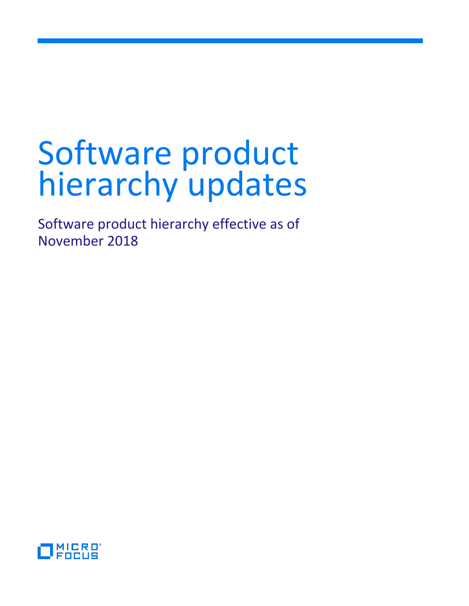# Software product hierarchy updates

Software product hierarchy effective as of November 2018

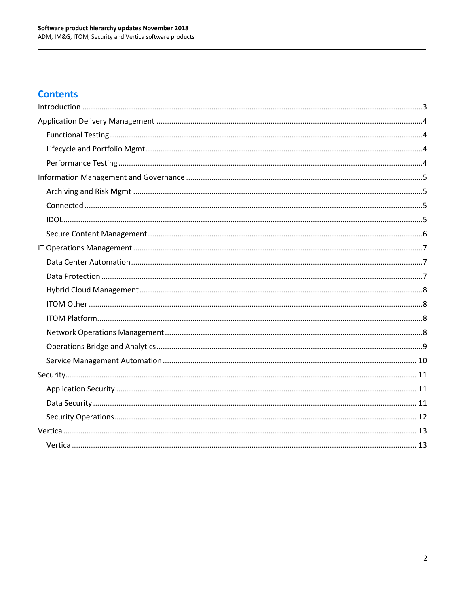#### **Contents**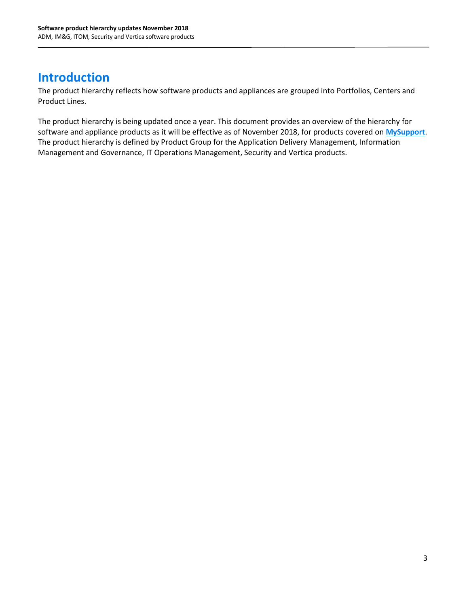## <span id="page-2-0"></span>**Introduction**

The product hierarchy reflects how software products and appliances are grouped into Portfolios, Centers and Product Lines.

The product hierarchy is being updated once a year. This document provides an overview of the hierarchy for software and appliance products as it will be effective as of November 2018, for products covered on **[MySupport](https://softwaresupport.softwaregrp.com/)**. The product hierarchy is defined by Product Group for the Application Delivery Management, Information Management and Governance, IT Operations Management, Security and Vertica products.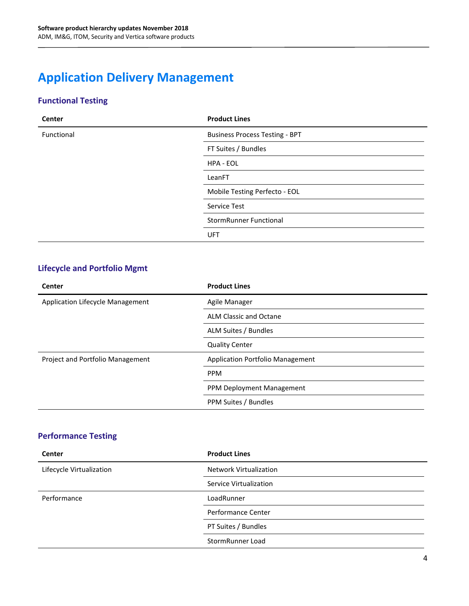## <span id="page-3-0"></span>**Application Delivery Management**

#### <span id="page-3-1"></span>**Functional Testing**

| Center     | <b>Product Lines</b>                  |
|------------|---------------------------------------|
| Functional | <b>Business Process Testing - BPT</b> |
|            | FT Suites / Bundles                   |
|            | HPA - EOL                             |
|            | LeanFT                                |
|            | Mobile Testing Perfecto - EOL         |
|            | Service Test                          |
|            | <b>StormRunner Functional</b>         |
|            | UFT                                   |

#### <span id="page-3-2"></span>**Lifecycle and Portfolio Mgmt**

| Center                           | <b>Product Lines</b>             |
|----------------------------------|----------------------------------|
| Application Lifecycle Management | Agile Manager                    |
|                                  | <b>ALM Classic and Octane</b>    |
|                                  | ALM Suites / Bundles             |
|                                  | <b>Quality Center</b>            |
| Project and Portfolio Management | Application Portfolio Management |
|                                  | <b>PPM</b>                       |
|                                  | PPM Deployment Management        |
|                                  | PPM Suites / Bundles             |

#### <span id="page-3-3"></span>**Performance Testing**

| <b>Center</b>            | <b>Product Lines</b>          |
|--------------------------|-------------------------------|
| Lifecycle Virtualization | <b>Network Virtualization</b> |
|                          | Service Virtualization        |
| Performance              | LoadRunner                    |
|                          | <b>Performance Center</b>     |
|                          | PT Suites / Bundles           |
|                          | StormRunner Load              |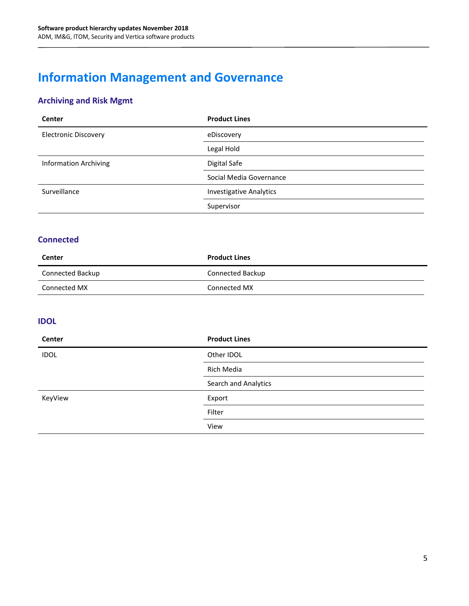# <span id="page-4-0"></span>**Information Management and Governance**

#### <span id="page-4-1"></span>**Archiving and Risk Mgmt**

| <b>Center</b>                | <b>Product Lines</b>           |
|------------------------------|--------------------------------|
| <b>Electronic Discovery</b>  | eDiscovery                     |
|                              | Legal Hold                     |
| <b>Information Archiving</b> | Digital Safe                   |
|                              | Social Media Governance        |
| Surveillance                 | <b>Investigative Analytics</b> |
|                              | Supervisor                     |

#### <span id="page-4-2"></span>**Connected**

| Center           | <b>Product Lines</b> |
|------------------|----------------------|
| Connected Backup | Connected Backup     |
| Connected MX     | Connected MX         |

#### <span id="page-4-3"></span>**IDOL**

| <b>Center</b> | <b>Product Lines</b> |
|---------------|----------------------|
| <b>IDOL</b>   | Other IDOL           |
|               | Rich Media           |
|               | Search and Analytics |
| KeyView       | Export               |
|               | Filter               |
|               | View                 |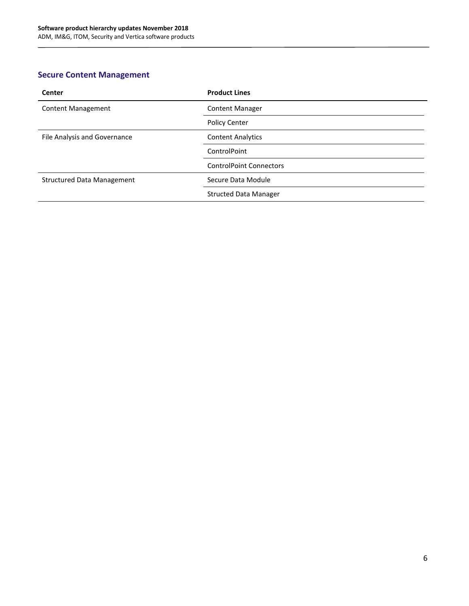#### <span id="page-5-0"></span>**Secure Content Management**

| Center                            | <b>Product Lines</b>           |
|-----------------------------------|--------------------------------|
| <b>Content Management</b>         | <b>Content Manager</b>         |
|                                   | <b>Policy Center</b>           |
| File Analysis and Governance      | <b>Content Analytics</b>       |
|                                   | ControlPoint                   |
|                                   | <b>ControlPoint Connectors</b> |
| <b>Structured Data Management</b> | Secure Data Module             |
|                                   | <b>Structed Data Manager</b>   |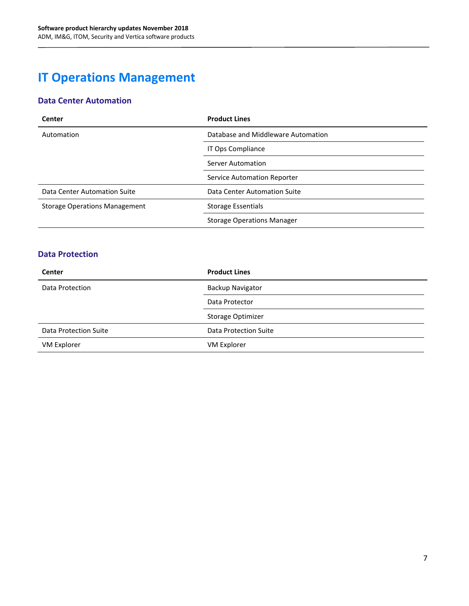## <span id="page-6-0"></span>**IT Operations Management**

#### <span id="page-6-1"></span>**Data Center Automation**

| Center                               | <b>Product Lines</b>               |
|--------------------------------------|------------------------------------|
| Automation                           | Database and Middleware Automation |
|                                      | IT Ops Compliance                  |
|                                      | <b>Server Automation</b>           |
|                                      | Service Automation Reporter        |
| Data Center Automation Suite         | Data Center Automation Suite       |
| <b>Storage Operations Management</b> | Storage Essentials                 |
|                                      | <b>Storage Operations Manager</b>  |

#### <span id="page-6-2"></span>**Data Protection**

| Center                | <b>Product Lines</b>    |
|-----------------------|-------------------------|
| Data Protection       | <b>Backup Navigator</b> |
|                       | Data Protector          |
|                       | Storage Optimizer       |
| Data Protection Suite | Data Protection Suite   |
| VM Explorer           | VM Explorer             |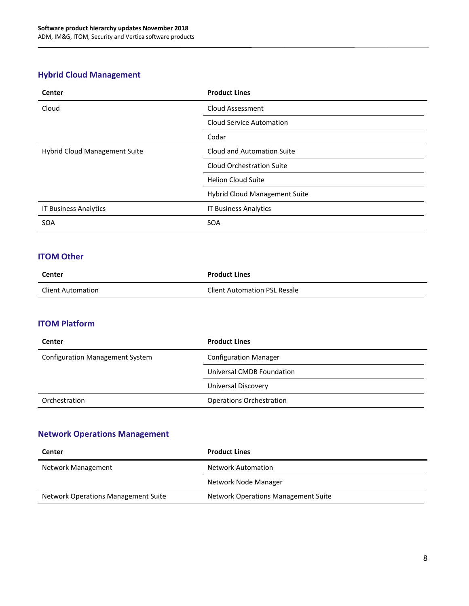#### <span id="page-7-0"></span>**Hybrid Cloud Management**

| <b>Center</b>                 | <b>Product Lines</b>             |
|-------------------------------|----------------------------------|
| Cloud                         | <b>Cloud Assessment</b>          |
|                               | <b>Cloud Service Automation</b>  |
|                               | Codar                            |
| Hybrid Cloud Management Suite | Cloud and Automation Suite       |
|                               | <b>Cloud Orchestration Suite</b> |
|                               | <b>Helion Cloud Suite</b>        |
|                               | Hybrid Cloud Management Suite    |
| <b>IT Business Analytics</b>  | <b>IT Business Analytics</b>     |
| <b>SOA</b>                    | <b>SOA</b>                       |

#### <span id="page-7-1"></span>**ITOM Other**

| Center                   | <b>Product Lines</b>                |
|--------------------------|-------------------------------------|
| <b>Client Automation</b> | <b>Client Automation PSL Resale</b> |

#### <span id="page-7-2"></span>**ITOM Platform**

| Center                                 | <b>Product Lines</b>            |
|----------------------------------------|---------------------------------|
| <b>Configuration Management System</b> | <b>Configuration Manager</b>    |
|                                        | Universal CMDB Foundation       |
|                                        | Universal Discovery             |
| Orchestration                          | <b>Operations Orchestration</b> |

#### <span id="page-7-3"></span>**Network Operations Management**

| Center                                     | <b>Product Lines</b>                       |
|--------------------------------------------|--------------------------------------------|
| Network Management                         | <b>Network Automation</b>                  |
|                                            | Network Node Manager                       |
| <b>Network Operations Management Suite</b> | <b>Network Operations Management Suite</b> |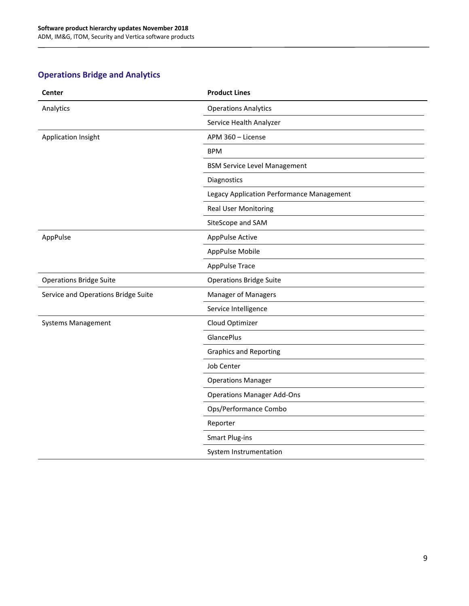#### <span id="page-8-0"></span>**Operations Bridge and Analytics**

| Center                              | <b>Product Lines</b>                      |
|-------------------------------------|-------------------------------------------|
| Analytics                           | <b>Operations Analytics</b>               |
|                                     | Service Health Analyzer                   |
| Application Insight                 | APM 360 - License                         |
|                                     | <b>BPM</b>                                |
|                                     | <b>BSM Service Level Management</b>       |
|                                     | Diagnostics                               |
|                                     | Legacy Application Performance Management |
|                                     | <b>Real User Monitoring</b>               |
|                                     | SiteScope and SAM                         |
| AppPulse                            | AppPulse Active                           |
|                                     | AppPulse Mobile                           |
|                                     | <b>AppPulse Trace</b>                     |
| <b>Operations Bridge Suite</b>      | <b>Operations Bridge Suite</b>            |
| Service and Operations Bridge Suite | <b>Manager of Managers</b>                |
|                                     | Service Intelligence                      |
| <b>Systems Management</b>           | Cloud Optimizer                           |
|                                     | <b>GlancePlus</b>                         |
|                                     | <b>Graphics and Reporting</b>             |
|                                     | <b>Job Center</b>                         |
|                                     | <b>Operations Manager</b>                 |
|                                     | <b>Operations Manager Add-Ons</b>         |
|                                     | Ops/Performance Combo                     |
|                                     | Reporter                                  |
|                                     | <b>Smart Plug-ins</b>                     |
|                                     | System Instrumentation                    |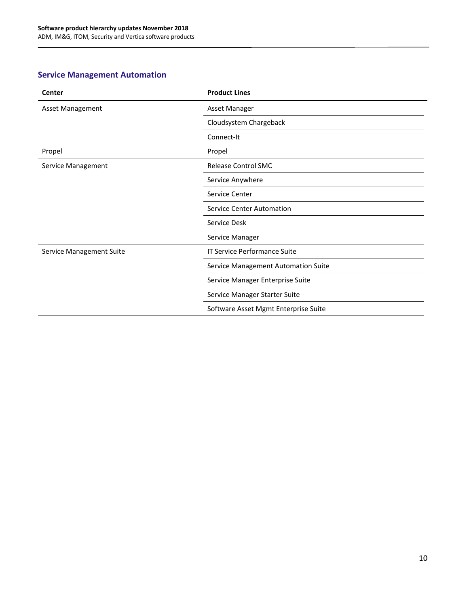#### <span id="page-9-0"></span>**Service Management Automation**

| Center                   | <b>Product Lines</b>                 |
|--------------------------|--------------------------------------|
| <b>Asset Management</b>  | Asset Manager                        |
|                          | Cloudsystem Chargeback               |
|                          | Connect-It                           |
| Propel                   | Propel                               |
| Service Management       | Release Control SMC                  |
|                          | Service Anywhere                     |
|                          | Service Center                       |
|                          | <b>Service Center Automation</b>     |
|                          | Service Desk                         |
|                          | Service Manager                      |
| Service Management Suite | <b>IT Service Performance Suite</b>  |
|                          | Service Management Automation Suite  |
|                          | Service Manager Enterprise Suite     |
|                          | Service Manager Starter Suite        |
|                          | Software Asset Mgmt Enterprise Suite |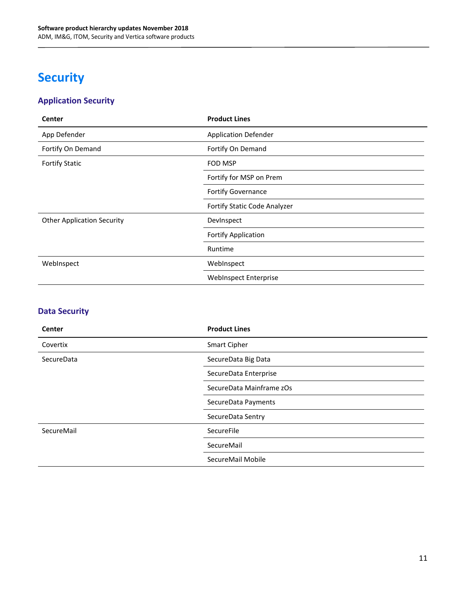## <span id="page-10-0"></span>**Security**

#### <span id="page-10-1"></span>**Application Security**

| Center                            | <b>Product Lines</b>         |
|-----------------------------------|------------------------------|
| App Defender                      | <b>Application Defender</b>  |
| Fortify On Demand                 | Fortify On Demand            |
| <b>Fortify Static</b>             | <b>FOD MSP</b>               |
|                                   | Fortify for MSP on Prem      |
|                                   | Fortify Governance           |
|                                   | Fortify Static Code Analyzer |
| <b>Other Application Security</b> | DevInspect                   |
|                                   | <b>Fortify Application</b>   |
|                                   | Runtime                      |
| WebInspect                        | WebInspect                   |
|                                   | <b>WebInspect Enterprise</b> |

#### <span id="page-10-2"></span>**Data Security**

| Center     | <b>Product Lines</b>     |
|------------|--------------------------|
| Covertix   | Smart Cipher             |
| SecureData | SecureData Big Data      |
|            | SecureData Enterprise    |
|            | SecureData Mainframe zOs |
|            | SecureData Payments      |
|            | SecureData Sentry        |
| SecureMail | SecureFile               |
|            | SecureMail               |
|            | SecureMail Mobile        |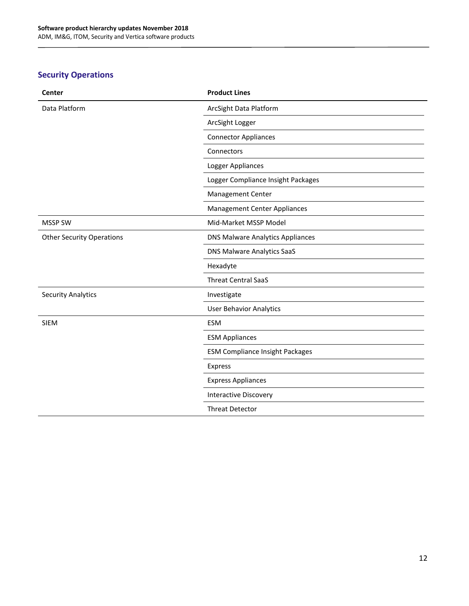#### <span id="page-11-0"></span>**Security Operations**

| Center                           | <b>Product Lines</b>                    |
|----------------------------------|-----------------------------------------|
| Data Platform                    | ArcSight Data Platform                  |
|                                  | ArcSight Logger                         |
|                                  | <b>Connector Appliances</b>             |
|                                  | Connectors                              |
|                                  | Logger Appliances                       |
|                                  | Logger Compliance Insight Packages      |
|                                  | <b>Management Center</b>                |
|                                  | <b>Management Center Appliances</b>     |
| <b>MSSP SW</b>                   | Mid-Market MSSP Model                   |
| <b>Other Security Operations</b> | <b>DNS Malware Analytics Appliances</b> |
|                                  | DNS Malware Analytics SaaS              |
|                                  | Hexadyte                                |
|                                  | <b>Threat Central SaaS</b>              |
| <b>Security Analytics</b>        | Investigate                             |
|                                  | <b>User Behavior Analytics</b>          |
| <b>SIEM</b>                      | <b>ESM</b>                              |
|                                  | <b>ESM Appliances</b>                   |
|                                  | <b>ESM Compliance Insight Packages</b>  |
|                                  | Express                                 |
|                                  | <b>Express Appliances</b>               |
|                                  | <b>Interactive Discovery</b>            |
|                                  | <b>Threat Detector</b>                  |